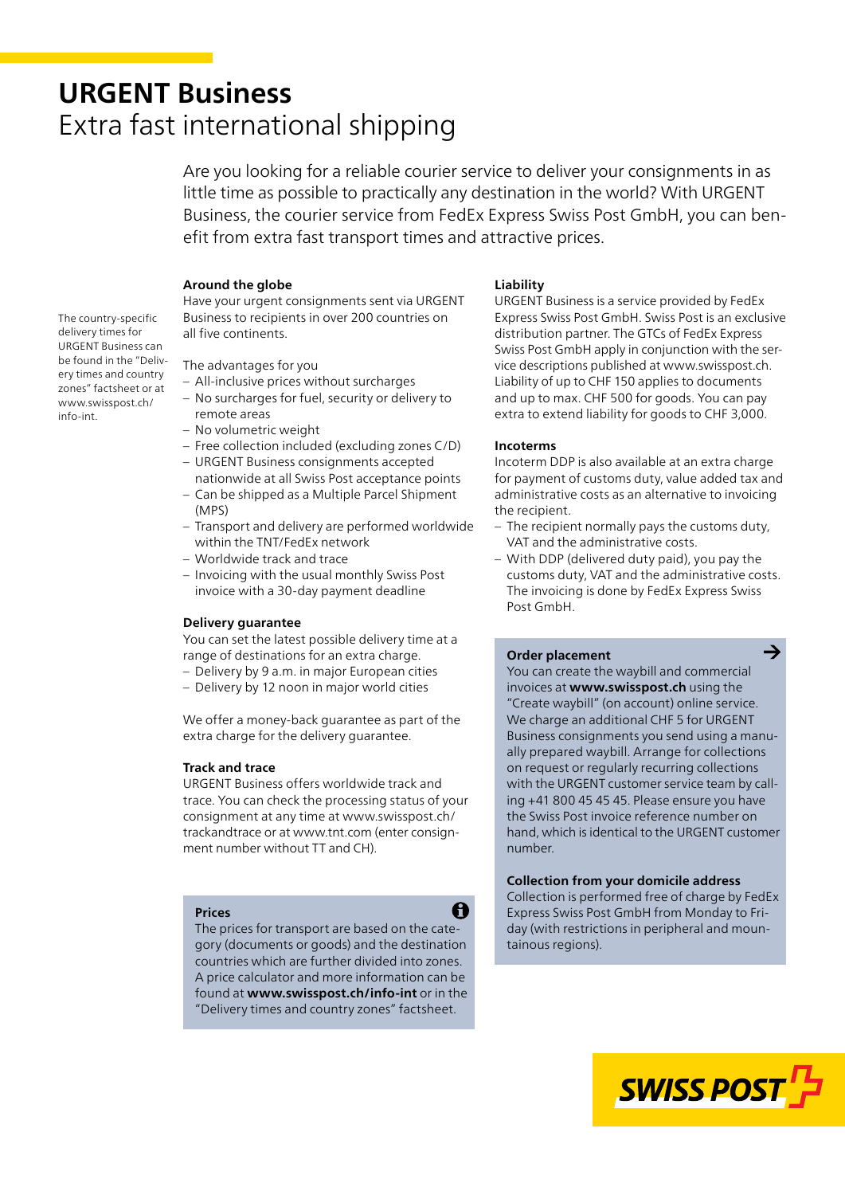# **URGENT Business** Extra fast international shipping

Are you looking for a reliable courier service to deliver your consignments in as little time as possible to practically any destination in the world? With URGENT Business, the courier service from FedEx Express Swiss Post GmbH, you can benefit from extra fast transport times and attractive prices.

# **Around the globe**

Have your urgent consignments sent via URGENT Business to recipients in over 200 countries on all five continents.

The country-specific delivery times for URGENT Business can be found in the "Delivery times and country zones" factsheet or at [www.swisspost.ch/](https://www.swisspost.ch/info-int) info-int.

# The advantages for you

- All-inclusive prices without surcharges
- No surcharges for fuel, security or delivery to remote areas
- No volumetric weight
- Free collection included (excluding zones C/D)
- URGENT Business consignments accepted nationwide at all Swiss Post acceptance points
- Can be shipped as a Multiple Parcel Shipment (MPS)
- Transport and delivery are performed worldwide within the TNT/FedEx network
- Worldwide track and trace
- Invoicing with the usual monthly Swiss Post invoice with a 30-day payment deadline

## **Delivery guarantee**

You can set the latest possible delivery time at a range of destinations for an extra charge.

- Delivery by 9 a.m. in major European cities
- Delivery by 12 noon in major world cities

We offer a money-back guarantee as part of the extra charge for the delivery guarantee.

## **Track and trace**

URGENT Business offers worldwide track and trace. You can check the processing status of your [consignment at any time at www.swisspost.ch/](https://www.swisspost.ch/trackandtrace) trackandtrace or at [www.tnt.com](https://www.tnt.com/) (enter consignment number without TT and CH).

#### **Prices**

The prices for transport are based on the category (documents or goods) and the destination countries which are further divided into zones. A price calculator and more information can be found at **[www.swisspost.ch/info-int](https://www.swisspost.ch/info-int)** or in the "Delivery times and country zones" factsheet.

A

## **Liability**

URGENT Business is a service provided by FedEx Express Swiss Post GmbH. Swiss Post is an exclusive distribution partner. The GTCs of FedEx Express Swiss Post GmbH apply in conjunction with the service descriptions published at [www.swisspost.ch.](https://www.swisspost.ch) Liability of up to CHF 150 applies to documents and up to max. CHF 500 for goods. You can pay extra to extend liability for goods to CHF 3,000.

## **Incoterms**

Incoterm DDP is also available at an extra charge for payment of customs duty, value added tax and administrative costs as an alternative to invoicing the recipient.

- The recipient normally pays the customs duty, VAT and the administrative costs.
- With DDP (delivered duty paid), you pay the customs duty, VAT and the administrative costs. The invoicing is done by FedEx Express Swiss Post GmbH.

## **Order placement**

You can create the waybill and commercial invoices at **[www.swisspost.ch](https://www.swisspost.ch/)** using the "Create waybill" (on account) online service. We charge an additional CHF 5 for URGENT Business consignments you send using a manually prepared waybill. Arrange for collections on request or regularly recurring collections with the URGENT customer service team by calling +41 800 45 45 45. Please ensure you have the Swiss Post invoice reference number on hand, which is identical to the URGENT customer number.

## **Collection from your domicile address**

Collection is performed free of charge by FedEx Express Swiss Post GmbH from Monday to Friday (with restrictions in peripheral and mountainous regions).



 $\rightarrow$